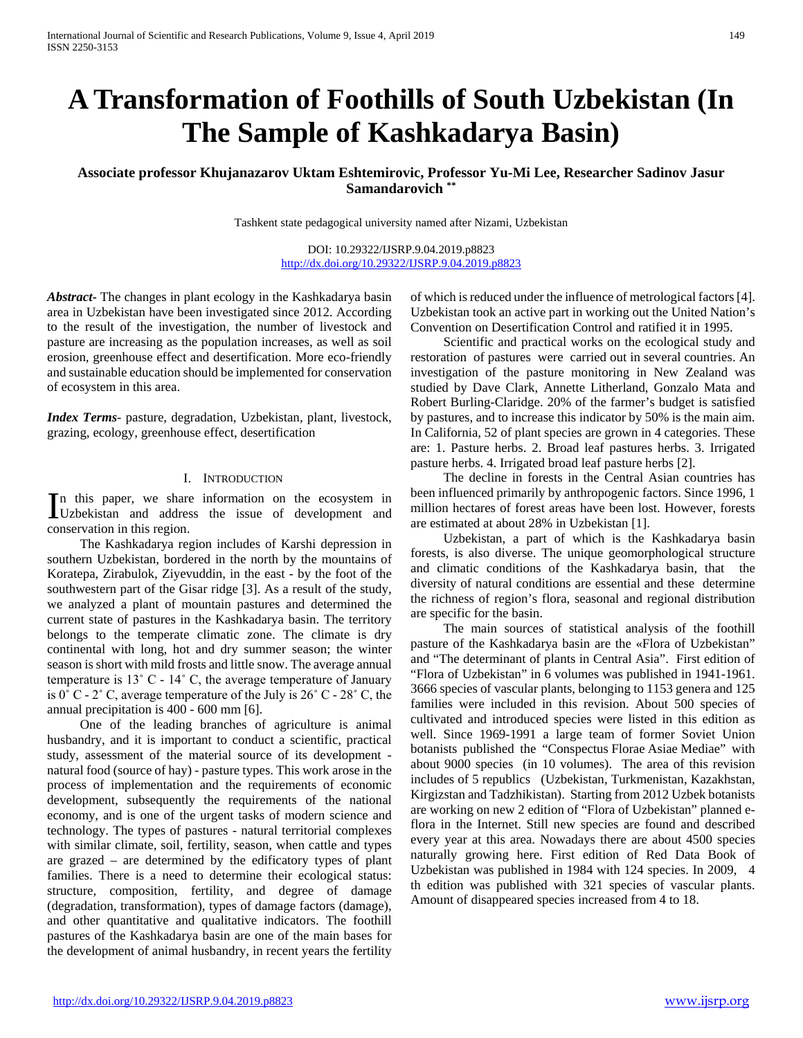# **A Transformation of Foothills of South Uzbekistan (In The Sample of Kashkadarya Basin)**

**Associate professor Khujanazarov Uktam Eshtemirovic, Professor Yu-Mi Lee, Researcher Sadinov Jasur Samandarovich \*\***

Tashkent state pedagogical university named after Nizami, Uzbekistan

DOI: 10.29322/IJSRP.9.04.2019.p8823 <http://dx.doi.org/10.29322/IJSRP.9.04.2019.p8823>

*Abstract***-** The changes in plant ecology in the Kashkadarya basin area in Uzbekistan have been investigated since 2012. According to the result of the investigation, the number of livestock and pasture are increasing as the population increases, as well as soil erosion, greenhouse effect and desertification. More eco-friendly and sustainable education should be implemented for conservation of ecosystem in this area.

*Index Terms*- pasture, degradation, Uzbekistan, plant, livestock, grazing, ecology, greenhouse effect, desertification

# I. INTRODUCTION

n this paper, we share information on the ecosystem in In this paper, we share information on the ecosystem in Uzbekistan and address the issue of development and conservation in this region.

 The Kashkadarya region includes of Karshi depression in southern Uzbekistan, bordered in the north by the mountains of Koratepa, Zirabulok, Ziyevuddin, in the east - by the foot of the southwestern part of the Gisar ridge [3]. As a result of the study, we analyzed a plant of mountain pastures and determined the current state of pastures in the Kashkadarya basin. The territory belongs to the temperate climatic zone. The climate is dry continental with long, hot and dry summer season; the winter season is short with mild frosts and little snow. The average annual temperature is  $13^{\circ}$  C -  $14^{\circ}$  C, the average temperature of January is  $0^{\circ}$  C - 2<sup> $\circ$ </sup> C, average temperature of the July is  $26^{\circ}$  C -  $28^{\circ}$  C, the annual precipitation is 400 - 600 mm [6].

 One of the leading branches of agriculture is animal husbandry, and it is important to conduct a scientific, practical study, assessment of the material source of its development natural food (source of hay) - pasture types. This work arose in the process of implementation and the requirements of economic development, subsequently the requirements of the national economy, and is one of the urgent tasks of modern science and technology. The types of pastures - natural territorial complexes with similar climate, soil, fertility, season, when cattle and types are grazed – are determined by the edificatory types of plant families. There is a need to determine their ecological status: structure, composition, fertility, and degree of damage (degradation, transformation), types of damage factors (damage), and other quantitative and qualitative indicators. The foothill pastures of the Kashkadarya basin are one of the main bases for the development of animal husbandry, in recent years the fertility

of which is reduced under the influence of metrological factors [4]. Uzbekistan took an active part in working out the United Nation's Convention on Desertification Control and ratified it in 1995.

 Scientific and practical works on the ecological study and restoration of pastures were carried out in several countries. An investigation of the pasture monitoring in New Zealand was studied by Dave Clark, Annette Litherland, Gonzalo Mata and Robert Burling-Claridge. 20% of the farmer's budget is satisfied by pastures, and to increase this indicator by 50% is the main aim. In California, 52 of plant species are grown in 4 categories. These are: 1. Pasture herbs. 2. Broad leaf pastures herbs. 3. Irrigated pasture herbs. 4. Irrigated broad leaf pasture herbs [2].

 The decline in forests in the Central Asian countries has been influenced primarily by anthropogenic factors. Since 1996, 1 million hectares of forest areas have been lost. However, forests are estimated at about 28% in Uzbekistan [1].

 Uzbekistan, a part of which is the Kashkadarya basin forests, is also diverse. The unique geomorphological structure and climatic conditions of the Kashkadarya basin, that the diversity of natural conditions are essential and these determine the richness of region's flora, seasonal and regional distribution are specific for the basin.

 The main sources of statistical analysis of the foothill pasture of the Kashkadarya basin are the «Flora of Uzbekistan" and "The determinant of plants in Central Asia". First edition of "Flora of Uzbekistan" in 6 volumes was published in 1941-1961. 3666 species of vascular plants, belonging to 1153 genera and 125 families were included in this revision. About 500 species of cultivated and introduced species were listed in this edition as well. Since 1969-1991 a large team of former Soviet Union botanists published the "Conspectus Florae Asiae Mediae" with about 9000 species (in 10 volumes). The area of this revision includes of 5 republics (Uzbekistan, Turkmenistan, Kazakhstan, Kirgizstan and Tadzhikistan). Starting from 2012 Uzbek botanists are working on new 2 edition of "Flora of Uzbekistan" planned eflora in the Internet. Still new species are found and described every year at this area. Nowadays there are about 4500 species naturally growing here. First edition of Red Data Book of Uzbekistan was published in 1984 with 124 species. In 2009, 4 th edition was published with 321 species of vascular plants. Amount of disappeared species increased from 4 to 18.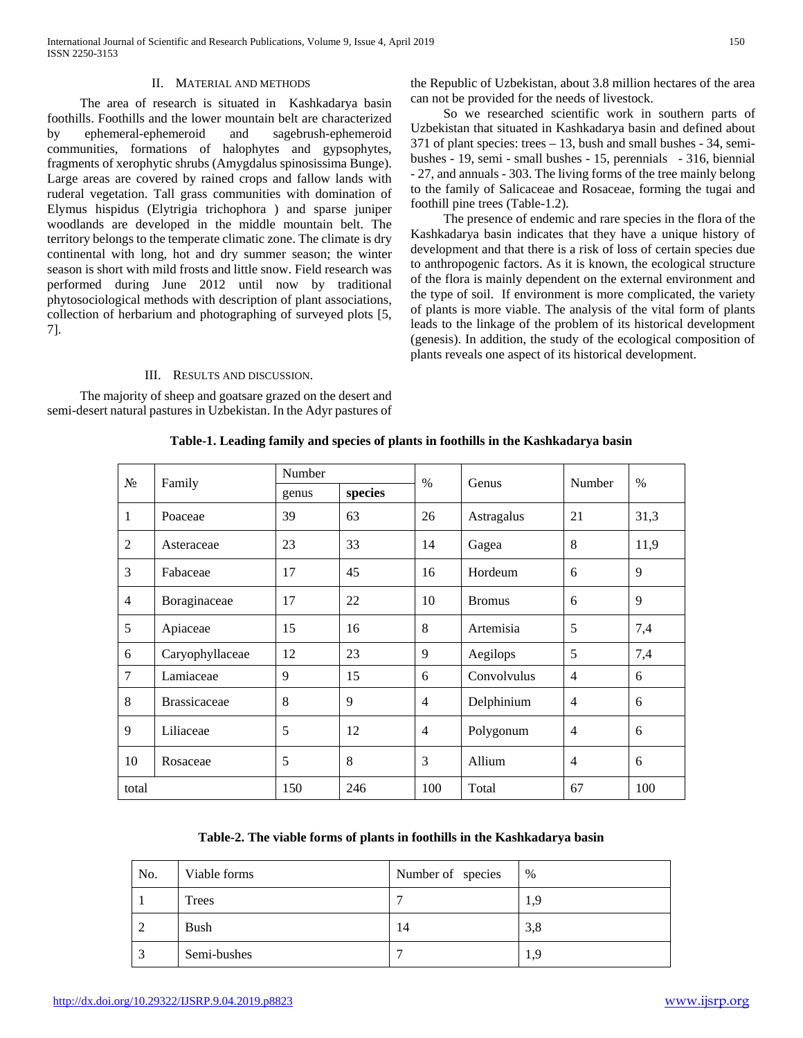# II. MATERIAL AND METHODS

 The area of research is situated in Kashkadarya basin foothills. Foothills and the lower mountain belt are characterized by ephemeral-ephemeroid and sagebrush-ephemeroid communities, formations of halophytes and gypsophytes, fragments of xerophytic shrubs (Amygdalus spinosissima Bunge). Large areas are covered by rained crops and fallow lands with ruderal vegetation. Tall grass communities with domination of Elymus hispidus (Elytrigia trichophora ) and sparse juniper woodlands are developed in the middle mountain belt. The territory belongs to the temperate climatic zone. The climate is dry continental with long, hot and dry summer season; the winter season is short with mild frosts and little snow. Field research was performed during June 2012 until now by traditional phytosociological methods with description of plant associations, collection of herbarium and photographing of surveyed plots [5, 7].

III. RESULTS AND DISCUSSION.

 The majority of sheep and goatsare grazed on the desert and semi-desert natural pastures in Uzbekistan. In the Adyr pastures of the Republic of Uzbekistan, about 3.8 million hectares of the area can not be provided for the needs of livestock.

 So we researched scientific work in southern parts of Uzbekistan that situated in Kashkadarya basin and defined about 371 of plant species: trees – 13, bush and small bushes - 34, semibushes - 19, semi - small bushes - 15, perennials - 316, biennial - 27, and annuals - 303. The living forms of the tree mainly belong to the family of Salicaceae and Rosaceae, forming the tugai and foothill pine trees (Table-1.2).

 The presence of endemic and rare species in the flora of the Kashkadarya basin indicates that they have a unique history of development and that there is a risk of loss of certain species due to anthropogenic factors. As it is known, the ecological structure of the flora is mainly dependent on the external environment and the type of soil. If environment is more complicated, the variety of plants is more viable. The analysis of the vital form of plants leads to the linkage of the problem of its historical development (genesis). In addition, the study of the ecological composition of plants reveals one aspect of its historical development.

| $N_2$          | Family              | Number |         | $\%$           | Genus         | Number         | $\%$ |
|----------------|---------------------|--------|---------|----------------|---------------|----------------|------|
|                |                     | genus  | species |                |               |                |      |
| $\mathbf{1}$   | Poaceae             | 39     | 63      | 26             | Astragalus    | 21             | 31,3 |
| 2              | Asteraceae          | 23     | 33      | 14             | Gagea         | 8              | 11,9 |
| 3              | Fabaceae            | 17     | 45      | 16             | Hordeum       | 6              | 9    |
| $\overline{4}$ | Boraginaceae        | 17     | 22      | 10             | <b>Bromus</b> | 6              | 9    |
| 5              | Apiaceae            | 15     | 16      | 8              | Artemisia     | 5              | 7,4  |
| 6              | Caryophyllaceae     | 12     | 23      | 9              | Aegilops      | 5              | 7,4  |
| $\overline{7}$ | Lamiaceae           | 9      | 15      | 6              | Convolvulus   | $\overline{4}$ | 6    |
| 8              | <b>Brassicaceae</b> | 8      | 9       | $\overline{4}$ | Delphinium    | $\overline{4}$ | 6    |
| 9              | Liliaceae           | 5      | 12      | $\overline{4}$ | Polygonum     | $\overline{4}$ | 6    |
| 10             | Rosaceae            | 5      | 8       | 3              | Allium        | $\overline{4}$ | 6    |
| total          |                     | 150    | 246     | 100            | Total         | 67             | 100  |

## **Table-1. Leading family and species of plants in foothills in the Kashkadarya basin**

**Table-2. The viable forms of plants in foothills in the Kashkadarya basin**

| No.    | Viable forms | Number of species | %   |
|--------|--------------|-------------------|-----|
|        | Trees        |                   | 1,9 |
| ി      | Bush         | 14                | 3,8 |
| $\sim$ | Semi-bushes  |                   | 1.9 |